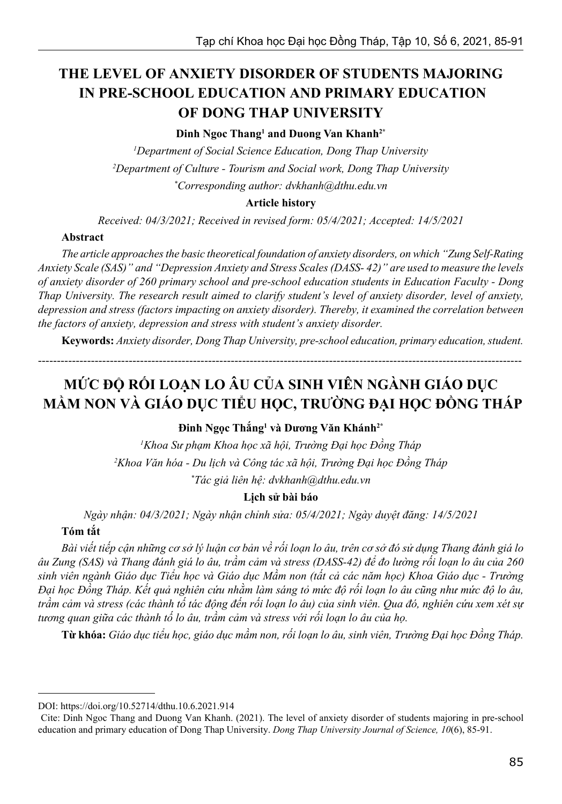# **THE LEVEL OF ANXIETY DISORDER OF STUDENTS MAJORING IN PRE-SCHOOL EDUCATION AND PRIMARY EDUCATION OF DONG THAP UNIVERSITY**

### **Dinh Ngoc Thang1 and Duong Van Khanh2\***

*1 Department of Social Science Education, Dong Thap University 2 Department of Culture - Tourism and Social work, Dong Thap University \* Corresponding author: dvkhanh@dthu.edu.vn*

#### **Article history**

*Received: 04/3/2021; Received in revised form: 05/4/2021; Accepted: 14/5/2021*

#### **Abstract**

*The article approaches the basic theoretical foundation of anxiety disorders, on which "Zung Self-Rating Anxiety Scale (SAS)" and "Depression Anxiety and Stress Scales (DASS- 42)" are used to measure the levels of anxiety disorder of 260 primary school and pre-school education students in Education Faculty - Dong Thap University. The research result aimed to clarify student's level of anxiety disorder, level of anxiety, depression and stress (factors impacting on anxiety disorder). Thereby, it examined the correlation between the factors of anxiety, depression and stress with student's anxiety disorder.*

**Keywords:** *Anxiety disorder, Dong Thap University, pre-school education, primary education, student.*

--------------------------------------------------------------------------------------------------------------------------------

# **MỨC ĐỘ RỐI LOẠN LO ÂU CỦA SINH VIÊN NGÀNH GIÁO DỤC MẦM NON VÀ GIÁO DỤC TIỂU HỌC, TRƯỜNG ĐẠI HỌC ĐỒNG THÁP**

### **Đinh Ngọc Thắng<sup>1</sup> và Dương Văn Khánh2\***

*1 Khoa Sư phạm Khoa học xã hội, Trường Đại học Đồng Tháp 2 Khoa Văn hóa - Du lịch và Công tác xã hội, Trường Đại học Đồng Tháp \* Tác giả liên hệ: dvkhanh@dthu.edu.vn*

#### **Lịch sử bài báo**

*Ngày nhận: 04/3/2021; Ngày nhận chỉnh sửa: 05/4/2021; Ngày duyệt đăng: 14/5/2021*

## **Tóm tắt**

*Bài viết tiếp cận những cơ sở lý luận cơ bản về rối loạn lo âu, trên cơ sở đó sử dụng Thang đánh giá lo âu Zung (SAS) và Thang đánh giá lo âu, trầm cảm và stress (DASS-42) để đo lường rối loạn lo âu của 260 sinh viên ngành Giáo dục Tiểu học và Giáo dục Mầm non (tất cả các năm học) Khoa Giáo dục - Trường Đại học Đồng Tháp. Kết quả nghiên cứu nhằm làm sáng tỏ mức độ rối loạn lo âu cũng như mức độ lo âu, trầm cảm và stress (các thành tố tác động đến rối loạn lo âu) của sinh viên. Qua đó, nghiên cứu xem xét sự tương quan giữa các thành tố lo âu, trầm cảm và stress với rối loạn lo âu của họ.*

**Từ khóa:** *Giáo dục tiểu học, giáo dục mầm non, rối loạn lo âu, sinh viên, Trường Đại học Đồng Tháp.*

DOI: https://doi.org/10.52714/dthu.10.6.2021.914

Cite: Dinh Ngoc Thang and Duong Van Khanh. (2021). The level of anxiety disorder of students majoring in pre-school education and primary education of Dong Thap University. *Dong Thap University Journal of Science, 10*(6), 85-91.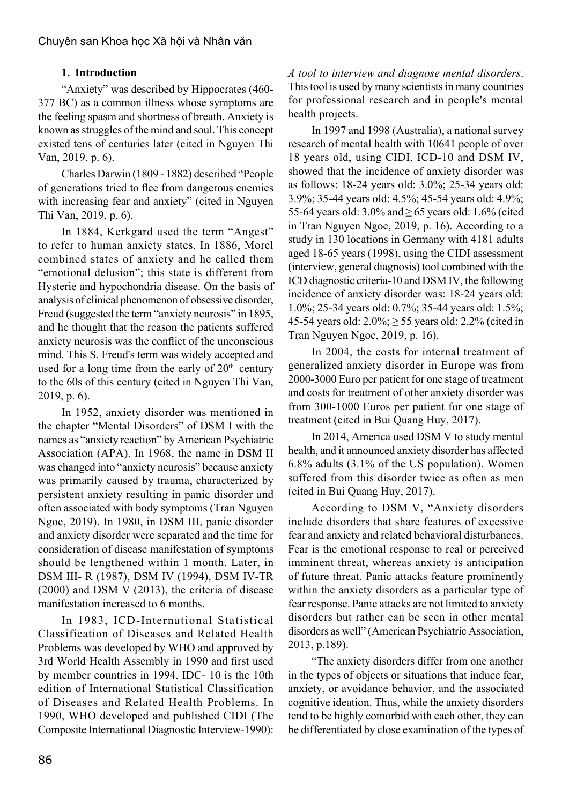# **1. Introduction**

"Anxiety" was described by Hippocrates (460- 377 BC) as a common illness whose symptoms are the feeling spasm and shortness of breath. Anxiety is known as struggles of the mind and soul. This concept existed tens of centuries later (cited in Nguyen Thi Van, 2019, p. 6).

Charles Darwin (1809 - 1882) described "People of generations tried to flee from dangerous enemies with increasing fear and anxiety" (cited in Nguyen Thi Van, 2019, p. 6).

In 1884, Kerkgard used the term "Angest" to refer to human anxiety states. In 1886, Morel combined states of anxiety and he called them "emotional delusion"; this state is different from Hysterie and hypochondria disease. On the basis of analysis of clinical phenomenon of obsessive disorder, Freud (suggested the term "anxiety neurosis" in 1895, and he thought that the reason the patients suffered anxiety neurosis was the conflict of the unconscious mind. This S. Freud's term was widely accepted and used for a long time from the early of  $20<sup>th</sup>$  century to the 60s of this century (cited in Nguyen Thi Van, 2019, p. 6).

In 1952, anxiety disorder was mentioned in the chapter "Mental Disorders" of DSM I with the names as "anxiety reaction" by American Psychiatric Association (APA). In 1968, the name in DSM II was changed into "anxiety neurosis" because anxiety was primarily caused by trauma, characterized by persistent anxiety resulting in panic disorder and often associated with body symptoms (Tran Nguyen Ngoc, 2019). In 1980, in DSM III, panic disorder and anxiety disorder were separated and the time for consideration of disease manifestation of symptoms should be lengthened within 1 month. Later, in DSM III- R (1987), DSM IV (1994), DSM IV-TR (2000) and DSM V (2013), the criteria of disease manifestation increased to 6 months.

In 1983, ICD-International Statistical Classification of Diseases and Related Health Problems was developed by WHO and approved by 3rd World Health Assembly in 1990 and first used by member countries in 1994. IDC- 10 is the 10th edition of International Statistical Classification of Diseases and Related Health Problems. In 1990, WHO developed and published CIDI (The Composite International Diagnostic Interview-1990):

*A tool to interview and diagnose mental disorders*. This tool is used by many scientists in many countries for professional research and in people's mental health projects.

In 1997 and 1998 (Australia), a national survey research of mental health with 10641 people of over 18 years old, using CIDI, ICD-10 and DSM IV, showed that the incidence of anxiety disorder was as follows: 18-24 years old: 3.0%; 25-34 years old: 3.9%; 35-44 years old: 4.5%; 45-54 years old: 4.9%; 55-64 years old:  $3.0\%$  and  $\geq 65$  years old: 1.6% (cited in Tran Nguyen Ngoc, 2019, p. 16). According to a study in 130 locations in Germany with 4181 adults aged 18-65 years (1998), using the CIDI assessment (interview, general diagnosis) tool combined with the ICD diagnostic criteria-10 and DSM IV, the following incidence of anxiety disorder was: 18-24 years old: 1.0%; 25-34 years old: 0.7%; 35-44 years old: 1.5%; 45-54 years old:  $2.0\%$ ;  $\geq$  55 years old: 2.2% (cited in Tran Nguyen Ngoc, 2019, p. 16).

In 2004, the costs for internal treatment of generalized anxiety disorder in Europe was from 2000-3000 Euro per patient for one stage of treatment and costs for treatment of other anxiety disorder was from 300-1000 Euros per patient for one stage of treatment (cited in Bui Quang Huy, 2017).

In 2014, America used DSM V to study mental health, and it announced anxiety disorder has affected 6.8% adults (3.1% of the US population). Women suffered from this disorder twice as often as men (cited in Bui Quang Huy, 2017).

According to DSM V, "Anxiety disorders include disorders that share features of excessive fear and anxiety and related behavioral disturbances. Fear is the emotional response to real or perceived imminent threat, whereas anxiety is anticipation of future threat. Panic attacks feature prominently within the anxiety disorders as a particular type of fear response. Panic attacks are not limited to anxiety disorders but rather can be seen in other mental disorders as well" (American Psychiatric Association, 2013, p.189).

"The anxiety disorders differ from one another in the types of objects or situations that induce fear, anxiety, or avoidance behavior, and the associated cognitive ideation. Thus, while the anxiety disorders tend to be highly comorbid with each other, they can be differentiated by close examination of the types of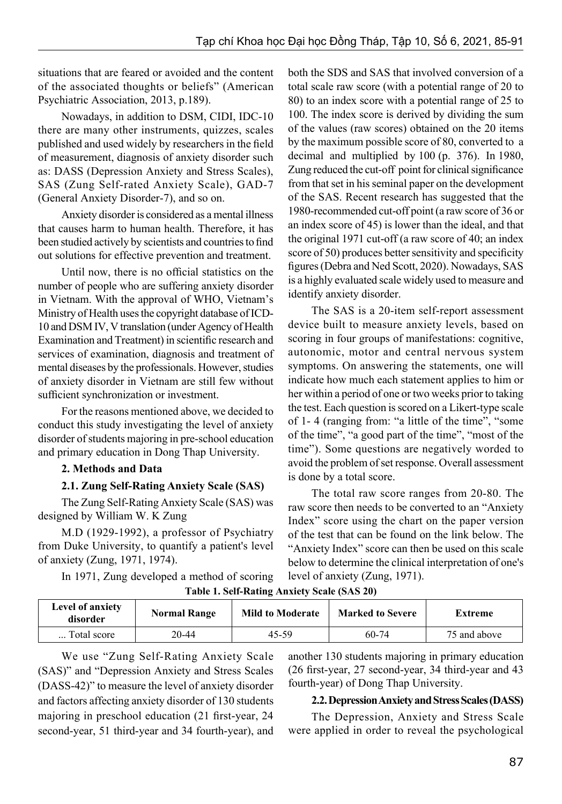situations that are feared or avoided and the content of the associated thoughts or beliefs" (American Psychiatric Association, 2013, p.189).

Nowadays, in addition to DSM, CIDI, IDC-10 there are many other instruments, quizzes, scales published and used widely by researchers in the field of measurement, diagnosis of anxiety disorder such as: DASS (Depression Anxiety and Stress Scales), SAS (Zung Self-rated Anxiety Scale), GAD-7 (General Anxiety Disorder-7), and so on.

Anxiety disorder is considered as a mental illness that causes harm to human health. Therefore, it has been studied actively by scientists and countries to find out solutions for effective prevention and treatment.

Until now, there is no official statistics on the number of people who are suffering anxiety disorder in Vietnam. With the approval of WHO, Vietnam's Ministry of Health uses the copyright database of ICD-10 and DSM IV, V translation (under Agency of Health Examination and Treatment) in scientific research and services of examination, diagnosis and treatment of mental diseases by the professionals. However, studies of anxiety disorder in Vietnam are still few without sufficient synchronization or investment.

For the reasons mentioned above, we decided to conduct this study investigating the level of anxiety disorder of students majoring in pre-school education and primary education in Dong Thap University.

### **2. Methods and Data**

### **2.1. Zung Self-Rating Anxiety Scale (SAS)**

The Zung Self-Rating Anxiety Scale (SAS) was designed by William W. K Zung

M.D (1929-1992), a professor of Psychiatry from Duke University, to quantify a patient's level of anxiety (Zung, 1971, 1974).

> In 1971, Zung developed a method of scoring **Table 1. Self-Rating Anxiety Scale (SAS 20)**

both the SDS and SAS that involved conversion of a total scale raw score (with a potential range of 20 to 80) to an index score with a potential range of 25 to 100. The index score is derived by dividing the sum of the values (raw scores) obtained on the 20 items by the maximum possible score of 80, converted to a decimal and multiplied by 100 (p. 376). In 1980, Zung reduced the cut-off point for clinical significance from that set in his seminal paper on the development of the SAS. Recent research has suggested that the 1980-recommended cut-off point (a raw score of 36 or an index score of 45) is lower than the ideal, and that the original 1971 cut-off (a raw score of 40; an index score of 50) produces better sensitivity and specificity figures (Debra and Ned Scott, 2020). Nowadays, SAS is a highly evaluated scale widely used to measure and identify anxiety disorder.

The SAS is a 20-item self-report assessment device built to measure anxiety levels, based on scoring in four groups of manifestations: cognitive, autonomic, motor and central nervous system symptoms. On answering the statements, one will indicate how much each statement applies to him or her within a period of one or two weeks prior to taking the test. Each question is scored on a Likert-type scale of 1- 4 (ranging from: "a little of the time", "some of the time", "a good part of the time", "most of the time"). Some questions are negatively worded to avoid the problem of set response. Overall assessment is done by a total score.

The total raw score ranges from 20-80. The raw score then needs to be converted to an "Anxiety Index" score using the chart on the paper version of the test that can be found on the link below. The "Anxiety Index" score can then be used on this scale below to determine the clinical interpretation of one's level of anxiety (Zung, 1971).

| <b>Level of anxiety</b><br>disorder | <b>Normal Range</b> | <b>Mild to Moderate</b> | <b>Marked to Severe</b> | Extreme      |
|-------------------------------------|---------------------|-------------------------|-------------------------|--------------|
| Total score                         | 20-44               | 45-59                   | 60-74                   | 75 and above |

We use "Zung Self-Rating Anxiety Scale (SAS)" and "Depression Anxiety and Stress Scales (DASS-42)" to measure the level of anxiety disorder and factors affecting anxiety disorder of 130 students majoring in preschool education (21 first-year, 24 second-year, 51 third-year and 34 fourth-year), and another 130 students majoring in primary education (26 first-year, 27 second-year, 34 third-year and 43 fourth-year) of Dong Thap University.

# **2.2. Depression Anxiety and Stress Scales (DASS)**

The Depression, Anxiety and Stress Scale were applied in order to reveal the psychological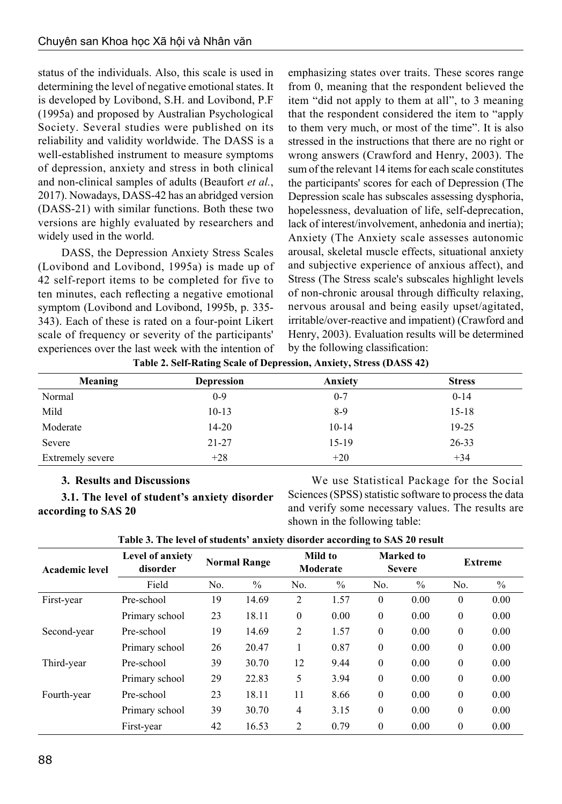status of the individuals. Also, this scale is used in determining the level of negative emotional states. It is developed by Lovibond, S.H. and Lovibond, P.F (1995a) and proposed by Australian Psychological Society. Several studies were published on its reliability and validity worldwide. The DASS is a well-established instrument to measure symptoms of depression, anxiety and stress in both clinical and non-clinical samples of adults (Beaufort *et al.*, 2017). Nowadays, DASS-42 has an abridged version (DASS-21) with similar functions. Both these two versions are highly evaluated by researchers and widely used in the world.

DASS, the Depression Anxiety Stress Scales (Lovibond and Lovibond, 1995a) is made up of 42 self-report items to be completed for five to ten minutes, each reflecting a negative emotional symptom (Lovibond and Lovibond, 1995b, p. 335- 343). Each of these is rated on a four-point Likert scale of frequency or severity of the participants' experiences over the last week with the intention of emphasizing states over traits. These scores range from 0, meaning that the respondent believed the item "did not apply to them at all", to 3 meaning that the respondent considered the item to "apply to them very much, or most of the time". It is also stressed in the instructions that there are no right or wrong answers (Crawford and Henry, 2003). The sum of the relevant 14 items for each scale constitutes the participants' scores for each of Depression (The Depression scale has subscales assessing dysphoria, hopelessness, devaluation of life, self-deprecation, lack of interest/involvement, anhedonia and inertia); Anxiety (The Anxiety scale assesses autonomic arousal, skeletal muscle effects, situational anxiety and subjective experience of anxious affect), and Stress (The Stress scale's subscales highlight levels of non-chronic arousal through difficulty relaxing, nervous arousal and being easily upset/agitated, irritable/over-reactive and impatient) (Crawford and Henry, 2003). Evaluation results will be determined by the following classification:

| <b>Meaning</b>          | <b>Depression</b> | Anxiety | <b>Stress</b> |
|-------------------------|-------------------|---------|---------------|
| Normal                  | $0 - 9$           | $0 - 7$ | $0 - 14$      |
| Mild                    | $10-13$           | $8-9$   | $15 - 18$     |
| Moderate                | $14 - 20$         | $10-14$ | $19 - 25$     |
| Severe                  | $21 - 27$         | 15-19   | $26 - 33$     |
| <b>Extremely severe</b> | $+28$             | $+20$   | $+34$         |

**Table 2. Self-Rating Scale of Depression, Anxiety, Stress (DASS 42)**

#### **3. Results and Discussions**

**3.1. The level of student's anxiety disorder according to SAS 20**

We use Statistical Package for the Social Sciences (SPSS) statistic software to process the data and verify some necessary values. The results are shown in the following table:

| <b>Academic level</b> | Level of anxiety<br>disorder | <b>Normal Range</b> |       | Mild to<br>Moderate |               | Marked to<br><b>Severe</b> |               | <b>Extreme</b> |               |
|-----------------------|------------------------------|---------------------|-------|---------------------|---------------|----------------------------|---------------|----------------|---------------|
|                       | Field                        | No.                 | $\%$  | N <sub>0</sub>      | $\frac{0}{0}$ | No.                        | $\frac{0}{0}$ | N <sub>0</sub> | $\frac{0}{0}$ |
| First-year            | Pre-school                   | 19                  | 14.69 | 2                   | 1.57          | $\theta$                   | 0.00          | $\theta$       | 0.00          |
|                       | Primary school               | 23                  | 18.11 | $\theta$            | 0.00          | $\mathbf{0}$               | 0.00          | $\theta$       | 0.00          |
| Second-year           | Pre-school                   | 19                  | 14.69 | 2                   | 1.57          | $\mathbf{0}$               | 0.00          | $\theta$       | 0.00          |
|                       | Primary school               | 26                  | 20.47 |                     | 0.87          | $\theta$                   | 0.00          | $\theta$       | 0.00          |
| Third-year            | Pre-school                   | 39                  | 30.70 | 12                  | 9.44          | $\theta$                   | 0.00          | $\theta$       | 0.00          |
|                       | Primary school               | 29                  | 22.83 | 5                   | 3.94          | $\theta$                   | 0.00          | $\theta$       | 0.00          |
| Fourth-year           | Pre-school                   | 23                  | 18.11 | 11                  | 8.66          | $\mathbf{0}$               | 0.00          | $\theta$       | 0.00          |
|                       | Primary school               | 39                  | 30.70 | $\overline{4}$      | 3.15          | $\theta$                   | 0.00          | $\theta$       | 0.00          |
|                       | First-year                   | 42                  | 16.53 | 2                   | 0.79          | $\theta$                   | 0.00          | $\theta$       | 0.00          |

**Table 3. The level of students' anxiety disorder according to SAS 20 result**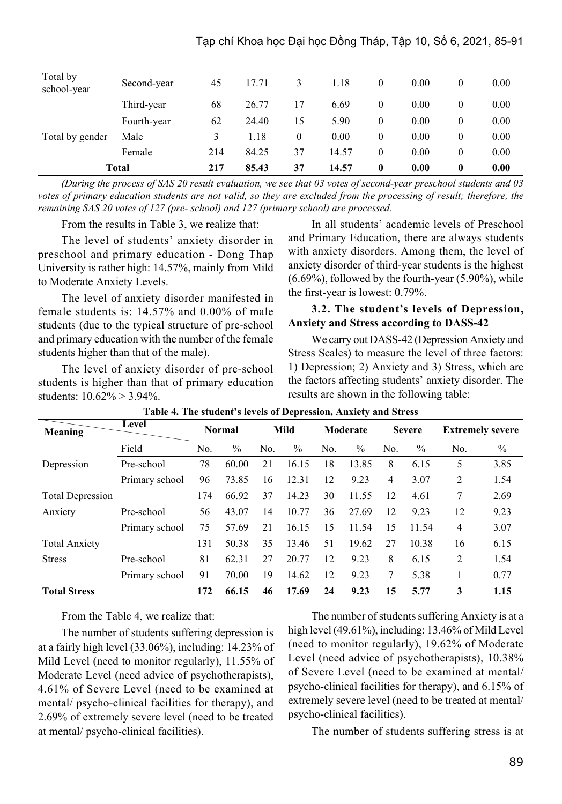| Total by<br>school-year | Second-year  | 45  | 17.71 | 3  | 1.18  | $\theta$ | 0.00 | 0                | 0.00 |
|-------------------------|--------------|-----|-------|----|-------|----------|------|------------------|------|
|                         | Third-year   | 68  | 26.77 | 17 | 6.69  | $\theta$ | 0.00 | 0                | 0.00 |
|                         | Fourth-year  | 62  | 24.40 | 15 | 5.90  | 0        | 0.00 | 0                | 0.00 |
| Total by gender         | Male         | 3   | 1.18  | 0  | 0.00  | 0        | 0.00 | 0                | 0.00 |
|                         | Female       | 214 | 84.25 | 37 | 14.57 | 0        | 0.00 | $\boldsymbol{0}$ | 0.00 |
|                         | <b>Total</b> | 217 | 85.43 | 37 | 14.57 | 0        | 0.00 | $\boldsymbol{0}$ | 0.00 |

*(During the process of SAS 20 result evaluation, we see that 03 votes of second-year preschool students and 03 votes of primary education students are not valid, so they are excluded from the processing of result; therefore, the remaining SAS 20 votes of 127 (pre- school) and 127 (primary school) are processed.*

From the results in Table 3, we realize that:

The level of students' anxiety disorder in preschool and primary education - Dong Thap University is rather high: 14.57%, mainly from Mild to Moderate Anxiety Levels.

The level of anxiety disorder manifested in female students is: 14.57% and 0.00% of male students (due to the typical structure of pre-school and primary education with the number of the female students higher than that of the male).

The level of anxiety disorder of pre-school students is higher than that of primary education students: 10.62% > 3.94%.

In all students' academic levels of Preschool and Primary Education, there are always students with anxiety disorders. Among them, the level of anxiety disorder of third-year students is the highest  $(6.69\%)$ , followed by the fourth-year  $(5.90\%)$ , while the first-year is lowest: 0.79%.

#### **3.2. The student's levels of Depression, Anxiety and Stress according to DASS-42**

We carry out DASS-42 (Depression Anxiety and Stress Scales) to measure the level of three factors: 1) Depression; 2) Anxiety and 3) Stress, which are the factors affecting students' anxiety disorder. The results are shown in the following table:

| Meaning                 | Level          |                | <b>Normal</b> |     | Mild          |                | Moderate      |                | <b>Severe</b> |                | <b>Extremely severe</b> |
|-------------------------|----------------|----------------|---------------|-----|---------------|----------------|---------------|----------------|---------------|----------------|-------------------------|
|                         | Field          | N <sub>0</sub> | $\frac{0}{0}$ | No. | $\frac{0}{0}$ | N <sub>0</sub> | $\frac{0}{0}$ | No.            | $\frac{0}{0}$ | No.            | $\%$                    |
| Depression              | Pre-school     | 78             | 60.00         | 21  | 16.15         | 18             | 13.85         | 8              | 6.15          | 5              | 3.85                    |
|                         | Primary school | 96             | 73.85         | 16  | 12.31         | 12             | 9.23          | $\overline{4}$ | 3.07          | 2              | 1.54                    |
| <b>Total Depression</b> |                | 174            | 66.92         | 37  | 14.23         | 30             | 11.55         | 12             | 4.61          | 7              | 2.69                    |
| Anxiety                 | Pre-school     | 56             | 43.07         | 14  | 10.77         | 36             | 27.69         | 12             | 9.23          | 12             | 9.23                    |
|                         | Primary school | 75             | 57.69         | 21  | 16.15         | 15             | 11.54         | 15             | 11.54         | 4              | 3.07                    |
| <b>Total Anxiety</b>    |                | 131            | 50.38         | 35  | 13.46         | 51             | 19.62         | 27             | 10.38         | 16             | 6.15                    |
| <b>Stress</b>           | Pre-school     | 81             | 62.31         | 27  | 20.77         | 12             | 9.23          | 8              | 6.15          | $\overline{2}$ | 1.54                    |
|                         | Primary school | 91             | 70.00         | 19  | 14.62         | 12             | 9.23          | 7              | 5.38          |                | 0.77                    |
| <b>Total Stress</b>     |                | 172            | 66.15         | 46  | 17.69         | 24             | 9.23          | 15             | 5.77          | 3              | 1.15                    |

#### **Table 4. The student's levels of Depression, Anxiety and Stress**

From the Table 4, we realize that:

The number of students suffering depression is at a fairly high level (33.06%), including: 14.23% of Mild Level (need to monitor regularly), 11.55% of Moderate Level (need advice of psychotherapists), 4.61% of Severe Level (need to be examined at mental/ psycho-clinical facilities for therapy), and 2.69% of extremely severe level (need to be treated at mental/ psycho-clinical facilities).

The number of students suffering Anxiety is at a high level (49.61%), including: 13.46% of Mild Level (need to monitor regularly), 19.62% of Moderate Level (need advice of psychotherapists), 10.38% of Severe Level (need to be examined at mental/ psycho-clinical facilities for therapy), and 6.15% of extremely severe level (need to be treated at mental/ psycho-clinical facilities).

The number of students suffering stress is at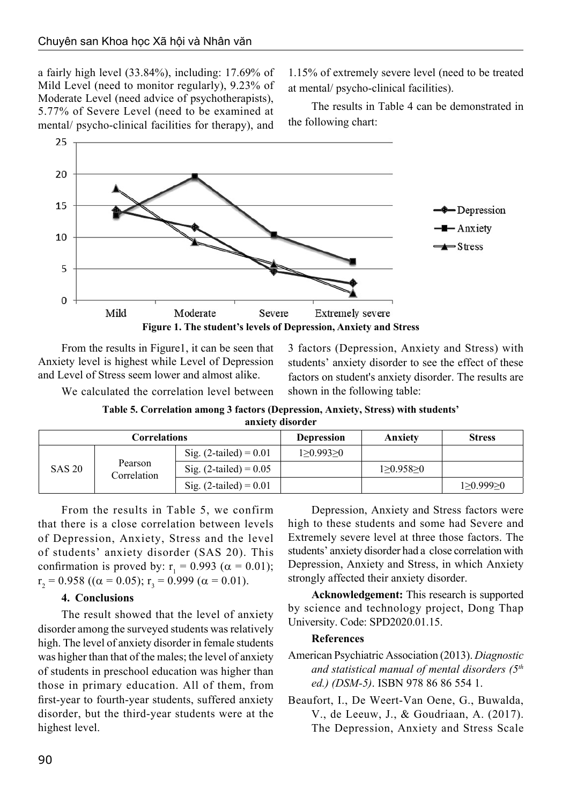a fairly high level (33.84%), including: 17.69% of Mild Level (need to monitor regularly), 9.23% of Moderate Level (need advice of psychotherapists), 5.77% of Severe Level (need to be examined at mental/ psycho-clinical facilities for therapy), and 1.15% of extremely severe level (need to be treated at mental/ psycho-clinical facilities).

The results in Table 4 can be demonstrated in the following chart:



From the results in Figure1, it can be seen that Anxiety level is highest while Level of Depression and Level of Stress seem lower and almost alike.

3 factors (Depression, Anxiety and Stress) with students' anxiety disorder to see the effect of these factors on student's anxiety disorder. The results are shown in the following table:

We calculated the correlation level between

**Table 5. Correlation among 3 factors (Depression, Anxiety, Stress) with students' anxiety disorder**

| Correlations  |                        |                              | Depression | Anxiety   | <b>Stress</b> |
|---------------|------------------------|------------------------------|------------|-----------|---------------|
| <b>SAS 20</b> |                        | Sig. $(2$ -tailed $) = 0.01$ | 1>0.993>0  |           |               |
|               | Pearson<br>Correlation | Sig. $(2-tailed) = 0.05$     |            | 1>0.958>0 |               |
|               |                        | Sig. $(2$ -tailed $) = 0.01$ |            |           | 1 > 0.999 > 0 |

From the results in Table 5, we confirm that there is a close correlation between levels of Depression, Anxiety, Stress and the level of students' anxiety disorder (SAS 20). This confirmation is proved by:  $r_1 = 0.993$  ( $\alpha = 0.01$ );  $r_2 = 0.958$  (( $\alpha = 0.05$ );  $r_3 = 0.999$  ( $\alpha = 0.01$ ).

### **4. Conclusions**

The result showed that the level of anxiety disorder among the surveyed students was relatively high. The level of anxiety disorder in female students was higher than that of the males; the level of anxiety of students in preschool education was higher than those in primary education. All of them, from first-year to fourth-year students, suffered anxiety disorder, but the third-year students were at the highest level.

Depression, Anxiety and Stress factors were high to these students and some had Severe and Extremely severe level at three those factors. The students' anxiety disorder had a close correlation with Depression, Anxiety and Stress, in which Anxiety strongly affected their anxiety disorder.

**Acknowledgement:** This research is supported by science and technology project, Dong Thap University. Code: SPD2020.01.15.

### **References**

- American Psychiatric Association (2013). *Diagnostic and statistical manual of mental disorders (5th ed.) (DSM-5)*. ISBN 978 86 86 554 1.
- Beaufort, I., De Weert-Van Oene, G., Buwalda, V., de Leeuw, J., & Goudriaan, A. (2017). The Depression, Anxiety and Stress Scale